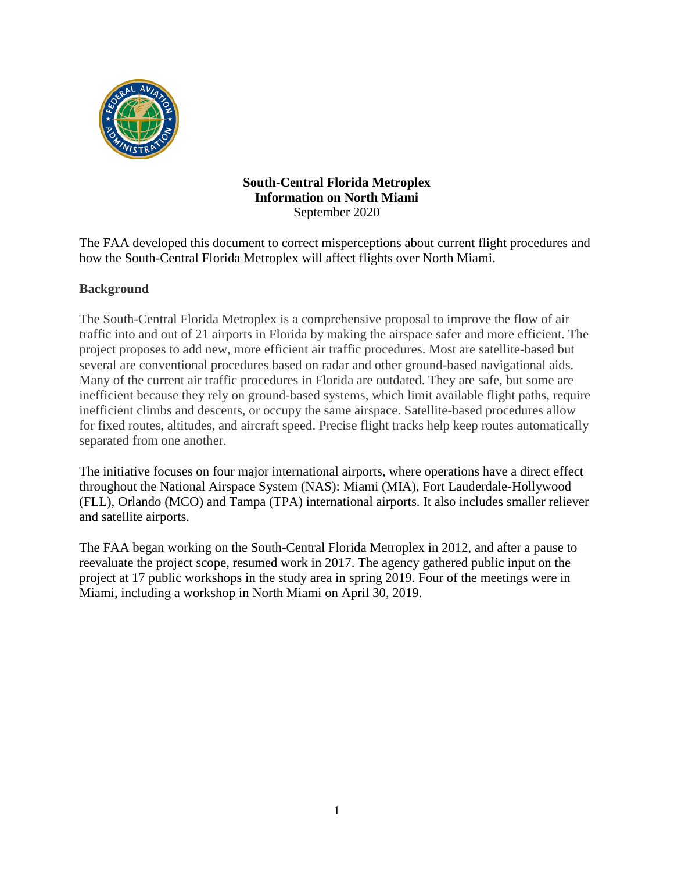

## **South-Central Florida Metroplex Information on North Miami** September 2020

The FAA developed this document to correct misperceptions about current flight procedures and how the South-Central Florida Metroplex will affect flights over North Miami.

# **Background**

The South-Central Florida Metroplex is a comprehensive proposal to improve the flow of air traffic into and out of 21 airports in Florida by making the airspace safer and more efficient. The project proposes to add new, more efficient air traffic procedures. Most are satellite-based but several are conventional procedures based on radar and other ground-based navigational aids. Many of the current air traffic procedures in Florida are outdated. They are safe, but some are inefficient because they rely on ground-based systems, which limit available flight paths, require inefficient climbs and descents, or occupy the same airspace. Satellite-based procedures allow for fixed routes, altitudes, and aircraft speed. Precise flight tracks help keep routes automatically separated from one another.

The initiative focuses on four major international airports, where operations have a direct effect throughout the National Airspace System (NAS): Miami (MIA), Fort Lauderdale-Hollywood (FLL), Orlando (MCO) and Tampa (TPA) international airports. It also includes smaller reliever and satellite airports.

The FAA began working on the South-Central Florida Metroplex in 2012, and after a pause to reevaluate the project scope, resumed work in 2017. The agency gathered public input on the project at 17 public workshops in the study area in spring 2019. Four of the meetings were in Miami, including a workshop in North Miami on April 30, 2019.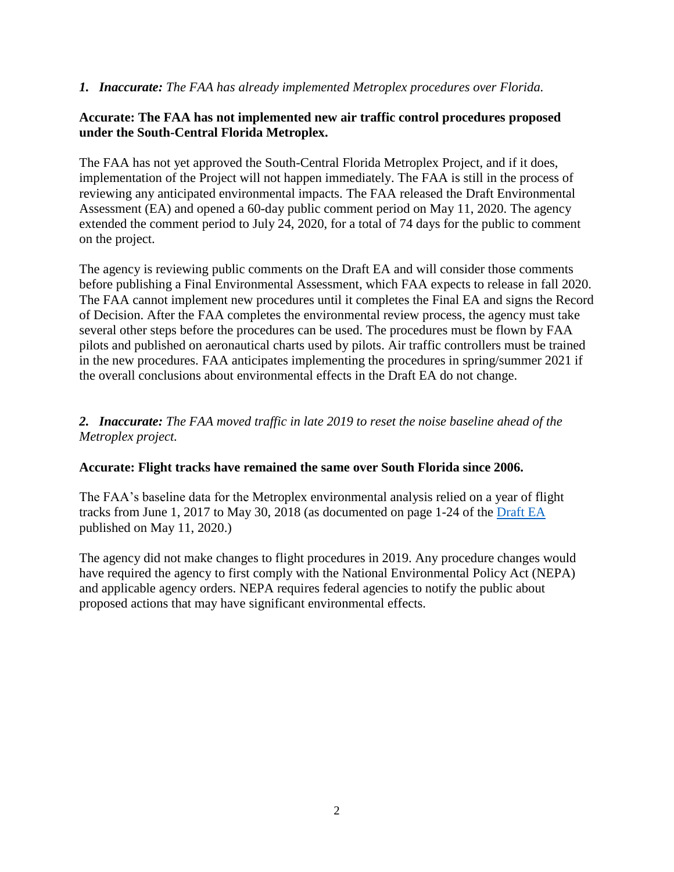#### *1. Inaccurate: The FAA has already implemented Metroplex procedures over Florida.*

### **Accurate: The FAA has not implemented new air traffic control procedures proposed under the South-Central Florida Metroplex.**

The FAA has not yet approved the South-Central Florida Metroplex Project, and if it does, implementation of the Project will not happen immediately. The FAA is still in the process of reviewing any anticipated environmental impacts. The FAA released the Draft Environmental Assessment (EA) and opened a 60-day public comment period on May 11, 2020. The agency extended the comment period to July 24, 2020, for a total of 74 days for the public to comment on the project.

The agency is reviewing public comments on the Draft EA and will consider those comments before publishing a Final Environmental Assessment, which FAA expects to release in fall 2020. The FAA cannot implement new procedures until it completes the Final EA and signs the Record of Decision. After the FAA completes the environmental review process, the agency must take several other steps before the procedures can be used. The procedures must be flown by FAA pilots and published on aeronautical charts used by pilots. Air traffic controllers must be trained in the new procedures. FAA anticipates implementing the procedures in spring/summer 2021 if the overall conclusions about environmental effects in the Draft EA do not change.

## *2. Inaccurate: The FAA moved traffic in late 2019 to reset the noise baseline ahead of the Metroplex project.*

## **Accurate: Flight tracks have remained the same over South Florida since 2006.**

The FAA's baseline data for the Metroplex environmental analysis relied on a year of flight tracks from June 1, 2017 to May 30, 2018 (as documented on page 1-24 of the [Draft EA](http://metroplexenvironmental.com/fl_metroplex/fl_docs.html) published on May 11, 2020.)

The agency did not make changes to flight procedures in 2019. Any procedure changes would have required the agency to first comply with the National Environmental Policy Act (NEPA) and applicable agency orders. NEPA requires federal agencies to notify the public about proposed actions that may have significant environmental effects.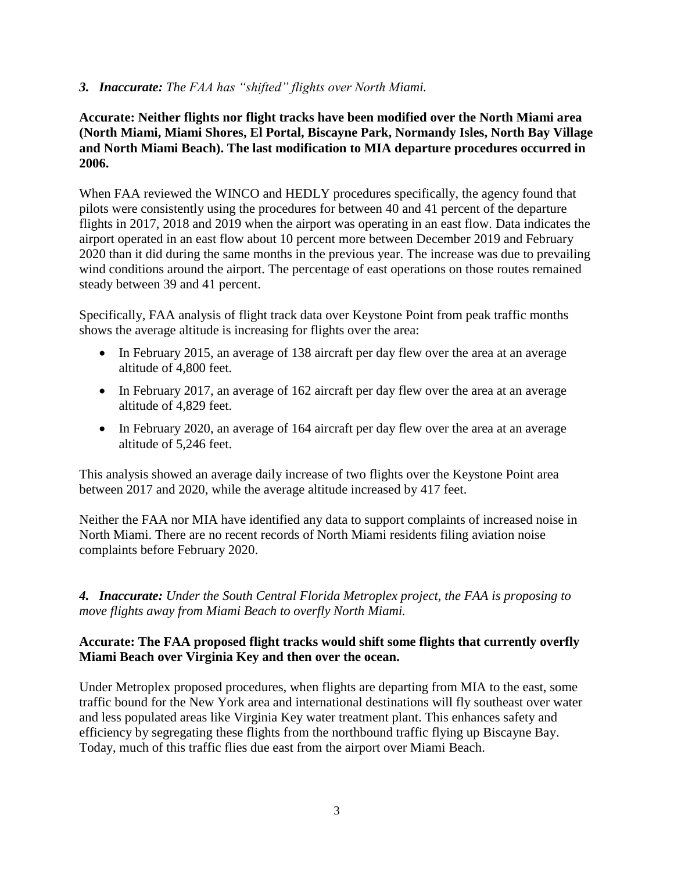#### *3. Inaccurate: The FAA has "shifted" flights over North Miami.*

## **Accurate: Neither flights nor flight tracks have been modified over the North Miami area (North Miami, Miami Shores, El Portal, Biscayne Park, Normandy Isles, North Bay Village and North Miami Beach). The last modification to MIA departure procedures occurred in 2006.**

When FAA reviewed the WINCO and HEDLY procedures specifically, the agency found that pilots were consistently using the procedures for between 40 and 41 percent of the departure flights in 2017, 2018 and 2019 when the airport was operating in an east flow. Data indicates the airport operated in an east flow about 10 percent more between December 2019 and February 2020 than it did during the same months in the previous year. The increase was due to prevailing wind conditions around the airport. The percentage of east operations on those routes remained steady between 39 and 41 percent.

Specifically, FAA analysis of flight track data over Keystone Point from peak traffic months shows the average altitude is increasing for flights over the area:

- In February 2015, an average of 138 aircraft per day flew over the area at an average altitude of 4,800 feet.
- In February 2017, an average of 162 aircraft per day flew over the area at an average altitude of 4,829 feet.
- In February 2020, an average of 164 aircraft per day flew over the area at an average altitude of 5,246 feet.

This analysis showed an average daily increase of two flights over the Keystone Point area between 2017 and 2020, while the average altitude increased by 417 feet.

Neither the FAA nor MIA have identified any data to support complaints of increased noise in North Miami. There are no recent records of North Miami residents filing aviation noise complaints before February 2020.

*4. Inaccurate: Under the South Central Florida Metroplex project, the FAA is proposing to move flights away from Miami Beach to overfly North Miami.*

## **Accurate: The FAA proposed flight tracks would shift some flights that currently overfly Miami Beach over Virginia Key and then over the ocean.**

Under Metroplex proposed procedures, when flights are departing from MIA to the east, some traffic bound for the New York area and international destinations will fly southeast over water and less populated areas like Virginia Key water treatment plant. This enhances safety and efficiency by segregating these flights from the northbound traffic flying up Biscayne Bay. Today, much of this traffic flies due east from the airport over Miami Beach.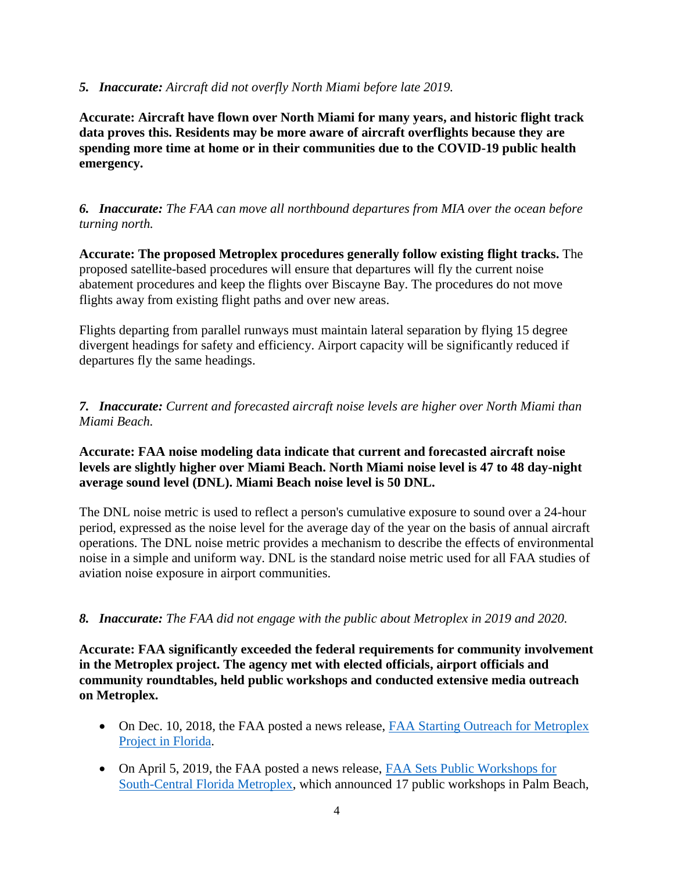#### *5. Inaccurate: Aircraft did not overfly North Miami before late 2019.*

**Accurate: Aircraft have flown over North Miami for many years, and historic flight track data proves this. Residents may be more aware of aircraft overflights because they are spending more time at home or in their communities due to the COVID-19 public health emergency.**

*6. Inaccurate: The FAA can move all northbound departures from MIA over the ocean before turning north.*

**Accurate: The proposed Metroplex procedures generally follow existing flight tracks.** The proposed satellite-based procedures will ensure that departures will fly the current noise abatement procedures and keep the flights over Biscayne Bay. The procedures do not move flights away from existing flight paths and over new areas.

Flights departing from parallel runways must maintain lateral separation by flying 15 degree divergent headings for safety and efficiency. Airport capacity will be significantly reduced if departures fly the same headings.

*7. Inaccurate: Current and forecasted aircraft noise levels are higher over North Miami than Miami Beach.*

### **Accurate: FAA noise modeling data indicate that current and forecasted aircraft noise levels are slightly higher over Miami Beach. North Miami noise level is 47 to 48 day-night average sound level (DNL). Miami Beach noise level is 50 DNL.**

The DNL noise metric is used to reflect a person's cumulative exposure to sound over a 24-hour period, expressed as the noise level for the average day of the year on the basis of annual aircraft operations. The DNL noise metric provides a mechanism to describe the effects of environmental noise in a simple and uniform way. DNL is the standard noise metric used for all FAA studies of aviation noise exposure in airport communities.

## *8. Inaccurate: The FAA did not engage with the public about Metroplex in 2019 and 2020.*

**Accurate: FAA significantly exceeded the federal requirements for community involvement in the Metroplex project. The agency met with elected officials, airport officials and community roundtables, held public workshops and conducted extensive media outreach on Metroplex.**

- On Dec. 10, 2018, the FAA posted a news release, FAA Starting Outreach for Metroplex [Project in Florida.](https://www.faa.gov/news/updates/?newsId=92505)
- On April 5, 2019, the FAA posted a news release, [FAA Sets Public Workshops for](https://www.faa.gov/news/updates/?newsId=93388)  [South-Central Florida Metroplex,](https://www.faa.gov/news/updates/?newsId=93388) which announced 17 public workshops in Palm Beach,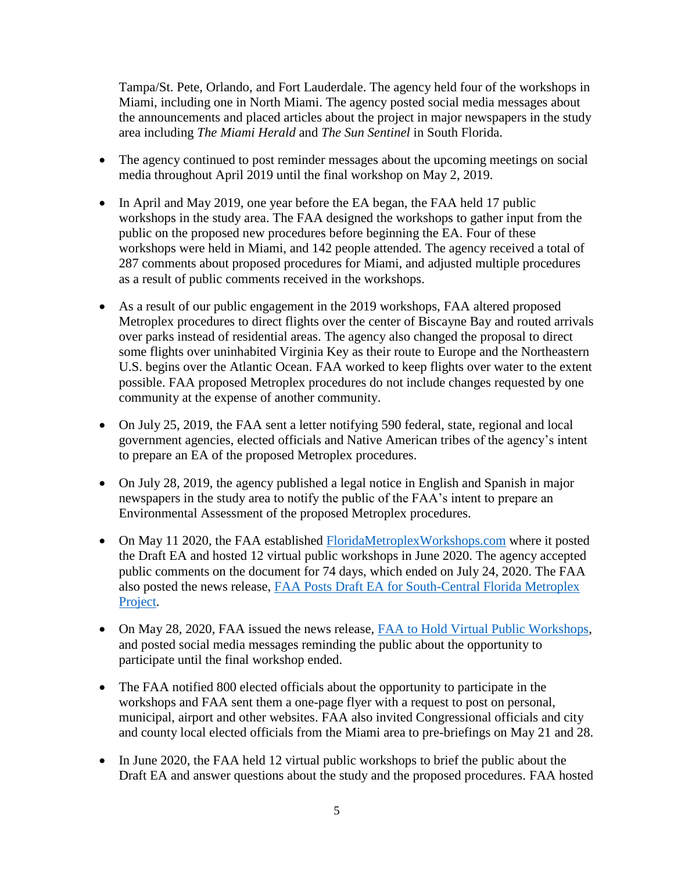Tampa/St. Pete, Orlando, and Fort Lauderdale. The agency held four of the workshops in Miami, including one in North Miami. The agency posted social media messages about the announcements and placed articles about the project in major newspapers in the study area including *The Miami Herald* and *The Sun Sentinel* in South Florida.

- The agency continued to post reminder messages about the upcoming meetings on social media throughout April 2019 until the final workshop on May 2, 2019.
- In April and May 2019, one year before the EA began, the FAA held 17 public workshops in the study area. The FAA designed the workshops to gather input from the public on the proposed new procedures before beginning the EA. Four of these workshops were held in Miami, and 142 people attended. The agency received a total of 287 comments about proposed procedures for Miami, and adjusted multiple procedures as a result of public comments received in the workshops.
- As a result of our public engagement in the 2019 workshops, FAA altered proposed Metroplex procedures to direct flights over the center of Biscayne Bay and routed arrivals over parks instead of residential areas. The agency also changed the proposal to direct some flights over uninhabited Virginia Key as their route to Europe and the Northeastern U.S. begins over the Atlantic Ocean. FAA worked to keep flights over water to the extent possible. FAA proposed Metroplex procedures do not include changes requested by one community at the expense of another community.
- On July 25, 2019, the FAA sent a letter notifying 590 federal, state, regional and local government agencies, elected officials and Native American tribes of the agency's intent to prepare an EA of the proposed Metroplex procedures.
- On July 28, 2019, the agency published a legal notice in English and Spanish in major newspapers in the study area to notify the public of the FAA's intent to prepare an Environmental Assessment of the proposed Metroplex procedures.
- On May 11 2020, the FAA established [FloridaMetroplexWorkshops.com](https://floridametroplexworkshops.com/) where it posted the Draft EA and hosted 12 virtual public workshops in June 2020. The agency accepted public comments on the document for 74 days, which ended on July 24, 2020. The FAA also posted the news release, [FAA Posts Draft EA for South-Central Florida Metroplex](https://www.faa.gov/news/search/?searchString=Metroplex&newsTypeId=)  [Project.](https://www.faa.gov/news/search/?searchString=Metroplex&newsTypeId=)
- On May 28, 2020, FAA issued the news release, [FAA to Hold Virtual Public Workshops,](https://www.faa.gov/news/updates/?newsId=95531) and posted social media messages reminding the public about the opportunity to participate until the final workshop ended.
- The FAA notified 800 elected officials about the opportunity to participate in the workshops and FAA sent them a one-page flyer with a request to post on personal, municipal, airport and other websites. FAA also invited Congressional officials and city and county local elected officials from the Miami area to pre-briefings on May 21 and 28.
- In June 2020, the FAA held 12 virtual public workshops to brief the public about the Draft EA and answer questions about the study and the proposed procedures. FAA hosted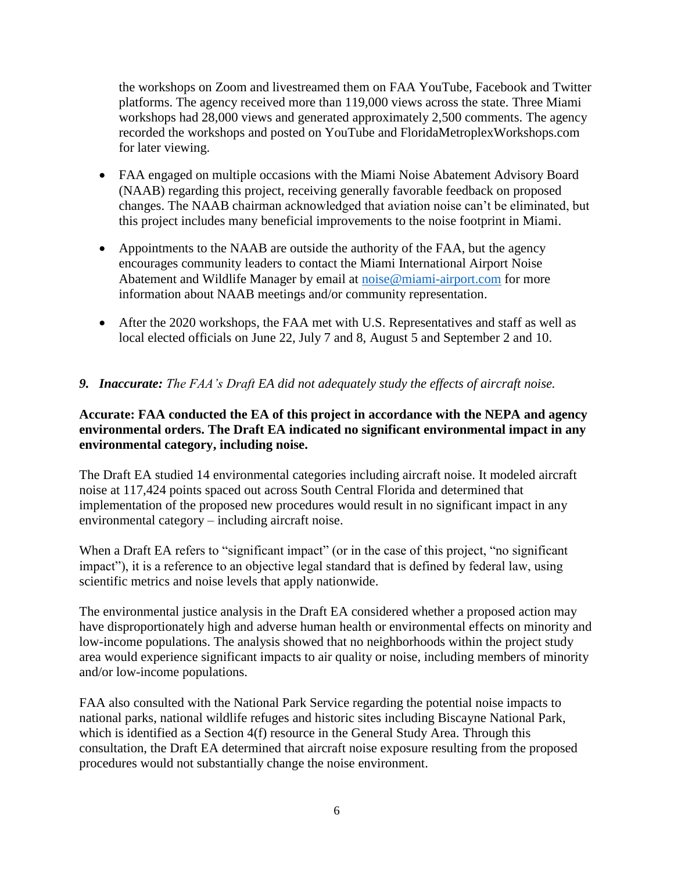the workshops on Zoom and livestreamed them on FAA YouTube, Facebook and Twitter platforms. The agency received more than 119,000 views across the state. Three Miami workshops had 28,000 views and generated approximately 2,500 comments. The agency recorded the workshops and posted on YouTube and FloridaMetroplexWorkshops.com for later viewing.

- FAA engaged on multiple occasions with the Miami Noise Abatement Advisory Board (NAAB) regarding this project, receiving generally favorable feedback on proposed changes. The NAAB chairman acknowledged that aviation noise can't be eliminated, but this project includes many beneficial improvements to the noise footprint in Miami.
- Appointments to the NAAB are outside the authority of the FAA, but the agency encourages community leaders to contact the Miami International Airport Noise Abatement and Wildlife Manager by email at [noise@miami-airport.com](mailto:noise@miami-airport.com) for more information about NAAB meetings and/or community representation.
- After the 2020 workshops, the FAA met with U.S. Representatives and staff as well as local elected officials on June 22, July 7 and 8, August 5 and September 2 and 10.

## *9. Inaccurate: The FAA's Draft EA did not adequately study the effects of aircraft noise.*

## **Accurate: FAA conducted the EA of this project in accordance with the NEPA and agency environmental orders. The Draft EA indicated no significant environmental impact in any environmental category, including noise.**

The Draft EA studied 14 environmental categories including aircraft noise. It modeled aircraft noise at 117,424 points spaced out across South Central Florida and determined that implementation of the proposed new procedures would result in no significant impact in any environmental category – including aircraft noise.

When a Draft EA refers to "significant impact" (or in the case of this project, "no significant impact"), it is a reference to an objective legal standard that is defined by federal law, using scientific metrics and noise levels that apply nationwide.

The environmental justice analysis in the Draft EA considered whether a proposed action may have disproportionately high and adverse human health or environmental effects on minority and low-income populations. The analysis showed that no neighborhoods within the project study area would experience significant impacts to air quality or noise, including members of minority and/or low-income populations.

FAA also consulted with the National Park Service regarding the potential noise impacts to national parks, national wildlife refuges and historic sites including Biscayne National Park, which is identified as a Section 4(f) resource in the General Study Area. Through this consultation, the Draft EA determined that aircraft noise exposure resulting from the proposed procedures would not substantially change the noise environment.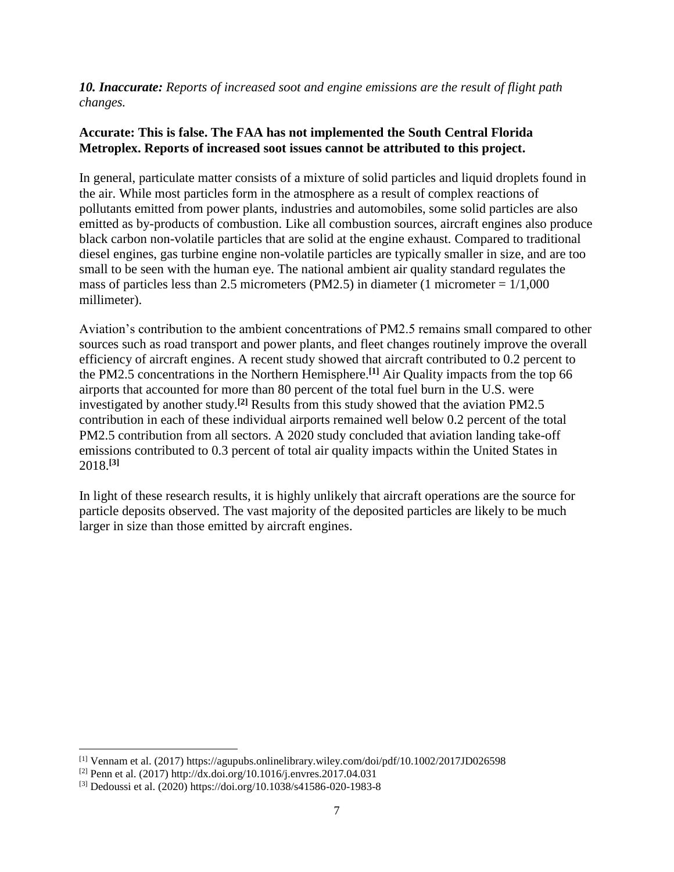*10. Inaccurate: Reports of increased soot and engine emissions are the result of flight path changes.*

## **Accurate: This is false. The FAA has not implemented the South Central Florida Metroplex. Reports of increased soot issues cannot be attributed to this project.**

In general, particulate matter consists of a mixture of solid particles and liquid droplets found in the air. While most particles form in the atmosphere as a result of complex reactions of pollutants emitted from power plants, industries and automobiles, some solid particles are also emitted as by-products of combustion. Like all combustion sources, aircraft engines also produce black carbon non-volatile particles that are solid at the engine exhaust. Compared to traditional diesel engines, gas turbine engine non-volatile particles are typically smaller in size, and are too small to be seen with the human eye. The national ambient air quality standard regulates the mass of particles less than 2.5 micrometers (PM2.5) in diameter (1 micrometer  $= 1/1,000$ millimeter).

Aviation's contribution to the ambient concentrations of PM2.5 remains small compared to other sources such as road transport and power plants, and fleet changes routinely improve the overall efficiency of aircraft engines. A recent study showed that aircraft contributed to 0.2 percent to the PM2.5 concentrations in the Northern Hemisphere.**[1]** Air Quality impacts from the top 66 airports that accounted for more than 80 percent of the total fuel burn in the U.S. were investigated by another study.**[2]** Results from this study showed that the aviation PM2.5 contribution in each of these individual airports remained well below 0.2 percent of the total PM2.5 contribution from all sectors. A 2020 study concluded that aviation landing take-off emissions contributed to 0.3 percent of total air quality impacts within the United States in 2018.**[3]**

In light of these research results, it is highly unlikely that aircraft operations are the source for particle deposits observed. The vast majority of the deposited particles are likely to be much larger in size than those emitted by aircraft engines.

 $\overline{\phantom{a}}$ 

<sup>[1]</sup> Vennam et al. (2017) https://agupubs.onlinelibrary.wiley.com/doi/pdf/10.1002/2017JD026598

<sup>[2]</sup> Penn et al. (2017) http://dx.doi.org/10.1016/j.envres.2017.04.031

<sup>[3]</sup> Dedoussi et al. (2020) https://doi.org/10.1038/s41586-020-1983-8